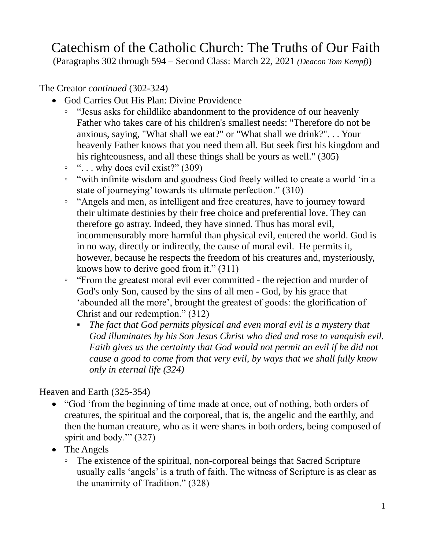# Catechism of the Catholic Church: The Truths of Our Faith

(Paragraphs 302 through 594 – Second Class: March 22, 2021 *(Deacon Tom Kempf)*)

The Creator *continued* (302-324)

- God Carries Out His Plan: Divine Providence
	- "Jesus asks for childlike abandonment to the providence of our heavenly Father who takes care of his children's smallest needs: "Therefore do not be anxious, saying, "What shall we eat?" or "What shall we drink?". . . Your heavenly Father knows that you need them all. But seek first his kingdom and his righteousness, and all these things shall be yours as well." (305)
	- $\degree$  "... why does evil exist?" (309)
	- "with infinite wisdom and goodness God freely willed to create a world 'in a state of journeying' towards its ultimate perfection." (310)
	- "Angels and men, as intelligent and free creatures, have to journey toward their ultimate destinies by their free choice and preferential love. They can therefore go astray. Indeed, they have sinned. Thus has moral evil, incommensurably more harmful than physical evil, entered the world. God is in no way, directly or indirectly, the cause of moral evil. He permits it, however, because he respects the freedom of his creatures and, mysteriously, knows how to derive good from it." (311)
	- "From the greatest moral evil ever committed the rejection and murder of God's only Son, caused by the sins of all men - God, by his grace that 'abounded all the more', brought the greatest of goods: the glorification of Christ and our redemption." (312)
		- *The fact that God permits physical and even moral evil is a mystery that God illuminates by his Son Jesus Christ who died and rose to vanquish evil. Faith gives us the certainty that God would not permit an evil if he did not cause a good to come from that very evil, by ways that we shall fully know only in eternal life (324)*

Heaven and Earth (325-354)

- "God 'from the beginning of time made at once, out of nothing, both orders of creatures, the spiritual and the corporeal, that is, the angelic and the earthly, and then the human creature, who as it were shares in both orders, being composed of spirit and body." (327)
- The Angels
	- The existence of the spiritual, non-corporeal beings that Sacred Scripture usually calls 'angels' is a truth of faith. The witness of Scripture is as clear as the unanimity of Tradition." (328)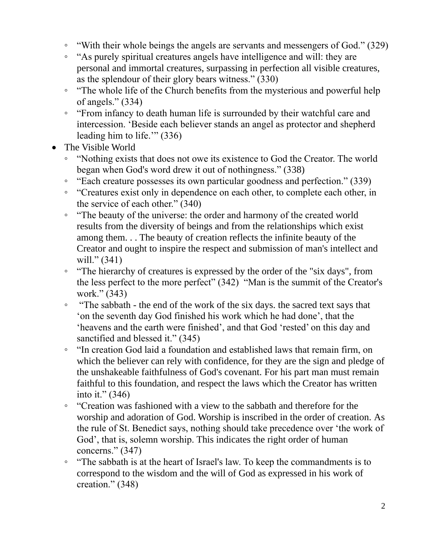- "With their whole beings the angels are servants and messengers of God." (329)
- "As purely spiritual creatures angels have intelligence and will: they are personal and immortal creatures, surpassing in perfection all visible creatures, as the splendour of their glory bears witness." (330)
- "The whole life of the Church benefits from the mysterious and powerful help of angels." (334)
- "From infancy to death human life is surrounded by their watchful care and intercession. 'Beside each believer stands an angel as protector and shepherd leading him to life.'" (336)
- The Visible World
	- "Nothing exists that does not owe its existence to God the Creator. The world began when God's word drew it out of nothingness." (338)
	- "Each creature possesses its own particular goodness and perfection." (339)
	- "Creatures exist only in dependence on each other, to complete each other, in the service of each other." (340)
	- "The beauty of the universe: the order and harmony of the created world results from the diversity of beings and from the relationships which exist among them. . . The beauty of creation reflects the infinite beauty of the Creator and ought to inspire the respect and submission of man's intellect and will." (341)
	- "The hierarchy of creatures is expressed by the order of the "six days", from the less perfect to the more perfect" (342) "Man is the summit of the Creator's work." (343)
	- "The sabbath the end of the work of the six days, the sacred text says that 'on the seventh day God finished his work which he had done', that the 'heavens and the earth were finished', and that God 'rested' on this day and sanctified and blessed it." (345)
	- "In creation God laid a foundation and established laws that remain firm, on which the believer can rely with confidence, for they are the sign and pledge of the unshakeable faithfulness of God's covenant. For his part man must remain faithful to this foundation, and respect the laws which the Creator has written into it."  $(346)$
	- "Creation was fashioned with a view to the sabbath and therefore for the worship and adoration of God. Worship is inscribed in the order of creation. As the rule of St. Benedict says, nothing should take precedence over 'the work of God', that is, solemn worship. This indicates the right order of human concerns." (347)
	- "The sabbath is at the heart of Israel's law. To keep the commandments is to correspond to the wisdom and the will of God as expressed in his work of creation." (348)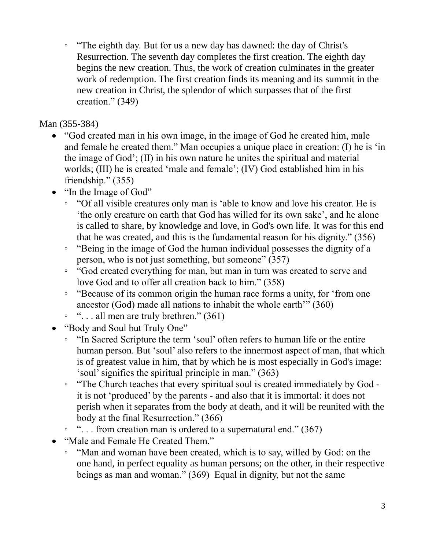◦ "The eighth day. But for us a new day has dawned: the day of Christ's Resurrection. The seventh day completes the first creation. The eighth day begins the new creation. Thus, the work of creation culminates in the greater work of redemption. The first creation finds its meaning and its summit in the new creation in Christ, the splendor of which surpasses that of the first creation." (349)

# Man (355-384)

- "God created man in his own image, in the image of God he created him, male and female he created them." Man occupies a unique place in creation: (I) he is 'in the image of God'; (II) in his own nature he unites the spiritual and material worlds; (III) he is created 'male and female'; (IV) God established him in his friendship." (355)
- "In the Image of God"
	- "Of all visible creatures only man is 'able to know and love his creator. He is 'the only creature on earth that God has willed for its own sake', and he alone is called to share, by knowledge and love, in God's own life. It was for this end that he was created, and this is the fundamental reason for his dignity." (356)
	- "Being in the image of God the human individual possesses the dignity of a person, who is not just something, but someone" (357)
	- "God created everything for man, but man in turn was created to serve and love God and to offer all creation back to him." (358)
	- "Because of its common origin the human race forms a unity, for 'from one ancestor (God) made all nations to inhabit the whole earth'" (360)
	- ". . . all men are truly brethren." (361)
- "Body and Soul but Truly One"
	- "In Sacred Scripture the term 'soul' often refers to human life or the entire human person. But 'soul' also refers to the innermost aspect of man, that which is of greatest value in him, that by which he is most especially in God's image: 'soul' signifies the spiritual principle in man." (363)
	- "The Church teaches that every spiritual soul is created immediately by God it is not 'produced' by the parents - and also that it is immortal: it does not perish when it separates from the body at death, and it will be reunited with the body at the final Resurrection." (366)
	- ". . . from creation man is ordered to a supernatural end." (367)
- "Male and Female He Created Them."
	- "Man and woman have been created, which is to say, willed by God: on the one hand, in perfect equality as human persons; on the other, in their respective beings as man and woman." (369) Equal in dignity, but not the same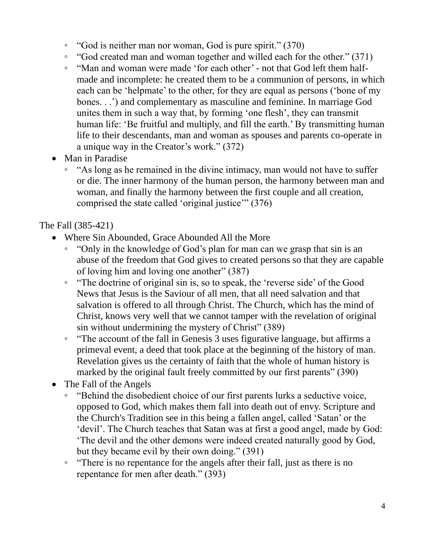- "God is neither man nor woman, God is pure spirit." (370)
- "God created man and woman together and willed each for the other." (371)
- "Man and woman were made 'for each other' not that God left them halfmade and incomplete: he created them to be a communion of persons, in which each can be 'helpmate' to the other, for they are equal as persons ('bone of my bones. . .') and complementary as masculine and feminine. In marriage God unites them in such a way that, by forming 'one flesh', they can transmit human life: 'Be fruitful and multiply, and fill the earth.' By transmitting human life to their descendants, man and woman as spouses and parents co-operate in a unique way in the Creator's work." (372)
- Man in Paradise
	- "As long as he remained in the divine intimacy, man would not have to suffer or die. The inner harmony of the human person, the harmony between man and woman, and finally the harmony between the first couple and all creation, comprised the state called 'original justice'" (376)

# The Fall (385-421)

- Where Sin Abounded, Grace Abounded All the More
	- "Only in the knowledge of God's plan for man can we grasp that sin is an abuse of the freedom that God gives to created persons so that they are capable of loving him and loving one another" (387)
	- "The doctrine of original sin is, so to speak, the 'reverse side' of the Good News that Jesus is the Saviour of all men, that all need salvation and that salvation is offered to all through Christ. The Church, which has the mind of Christ, knows very well that we cannot tamper with the revelation of original sin without undermining the mystery of Christ" (389)
	- "The account of the fall in Genesis 3 uses figurative language, but affirms a primeval event, a deed that took place at the beginning of the history of man. Revelation gives us the certainty of faith that the whole of human history is marked by the original fault freely committed by our first parents" (390)
- The Fall of the Angels
	- "Behind the disobedient choice of our first parents lurks a seductive voice, opposed to God, which makes them fall into death out of envy. Scripture and the Church's Tradition see in this being a fallen angel, called 'Satan' or the 'devil'. The Church teaches that Satan was at first a good angel, made by God: 'The devil and the other demons were indeed created naturally good by God, but they became evil by their own doing." (391)
	- "There is no repentance for the angels after their fall, just as there is no repentance for men after death." (393)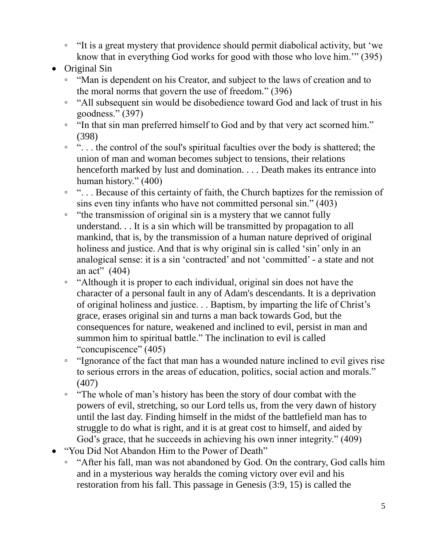- "It is a great mystery that providence should permit diabolical activity, but 'we know that in everything God works for good with those who love him.'" (395)
- Original Sin
	- "Man is dependent on his Creator, and subject to the laws of creation and to the moral norms that govern the use of freedom." (396)
	- "All subsequent sin would be disobedience toward God and lack of trust in his goodness." (397)
	- "In that sin man preferred himself to God and by that very act scorned him." (398)
	- ". . . the control of the soul's spiritual faculties over the body is shattered; the union of man and woman becomes subject to tensions, their relations henceforth marked by lust and domination. . . . Death makes its entrance into human history." (400)
	- ". . . Because of this certainty of faith, the Church baptizes for the remission of sins even tiny infants who have not committed personal sin." (403)
	- "the transmission of original sin is a mystery that we cannot fully understand. . . It is a sin which will be transmitted by propagation to all mankind, that is, by the transmission of a human nature deprived of original holiness and justice. And that is why original sin is called 'sin' only in an analogical sense: it is a sin 'contracted' and not 'committed' - a state and not an act"  $(404)$
	- "Although it is proper to each individual, original sin does not have the character of a personal fault in any of Adam's descendants. It is a deprivation of original holiness and justice. . . Baptism, by imparting the life of Christ's grace, erases original sin and turns a man back towards God, but the consequences for nature, weakened and inclined to evil, persist in man and summon him to spiritual battle." The inclination to evil is called "concupiscence" (405)
	- "Ignorance of the fact that man has a wounded nature inclined to evil gives rise to serious errors in the areas of education, politics, social action and morals." (407)
	- "The whole of man's history has been the story of dour combat with the powers of evil, stretching, so our Lord tells us, from the very dawn of history until the last day. Finding himself in the midst of the battlefield man has to struggle to do what is right, and it is at great cost to himself, and aided by God's grace, that he succeeds in achieving his own inner integrity." (409)
- "You Did Not Abandon Him to the Power of Death"
	- "After his fall, man was not abandoned by God. On the contrary, God calls him and in a mysterious way heralds the coming victory over evil and his restoration from his fall. This passage in Genesis (3:9, 15) is called the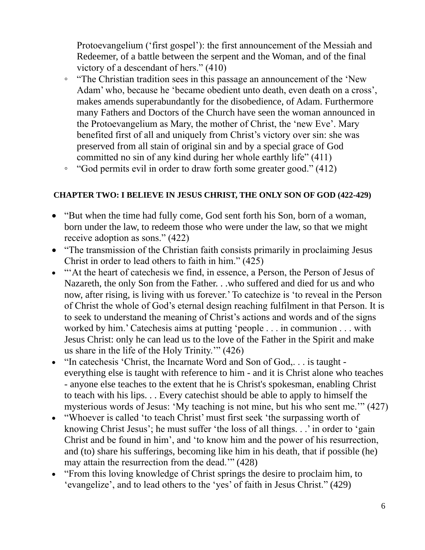Protoevangelium ('first gospel'): the first announcement of the Messiah and Redeemer, of a battle between the serpent and the Woman, and of the final victory of a descendant of hers." (410)

◦ "The Christian tradition sees in this passage an announcement of the 'New Adam' who, because he 'became obedient unto death, even death on a cross', makes amends superabundantly for the disobedience, of Adam. Furthermore many Fathers and Doctors of the Church have seen the woman announced in the Protoevangelium as Mary, the mother of Christ, the 'new Eve'. Mary benefited first of all and uniquely from Christ's victory over sin: she was preserved from all stain of original sin and by a special grace of God committed no sin of any kind during her whole earthly life" (411)

◦ "God permits evil in order to draw forth some greater good." (412)

#### **CHAPTER TWO: I BELIEVE IN JESUS CHRIST, THE ONLY SON OF GOD (422-429)**

- "But when the time had fully come, God sent forth his Son, born of a woman, born under the law, to redeem those who were under the law, so that we might receive adoption as sons." (422)
- "The transmission of the Christian faith consists primarily in proclaiming Jesus Christ in order to lead others to faith in him." (425)
- "At the heart of cate chess we find, in essence, a Person, the Person of Jesus of Nazareth, the only Son from the Father. . .who suffered and died for us and who now, after rising, is living with us forever.' To catechize is 'to reveal in the Person of Christ the whole of God's eternal design reaching fulfilment in that Person. It is to seek to understand the meaning of Christ's actions and words and of the signs worked by him.' Catechesis aims at putting 'people . . . in communion . . . with Jesus Christ: only he can lead us to the love of the Father in the Spirit and make us share in the life of the Holy Trinity.'" (426)
- "In cate chessis 'Christ, the Incarnate Word and Son of God,... is taught everything else is taught with reference to him - and it is Christ alone who teaches - anyone else teaches to the extent that he is Christ's spokesman, enabling Christ to teach with his lips. . . Every catechist should be able to apply to himself the mysterious words of Jesus: 'My teaching is not mine, but his who sent me.'" (427)
- "Whoever is called 'to teach Christ' must first seek 'the surpassing worth of knowing Christ Jesus'; he must suffer 'the loss of all things. . .' in order to 'gain Christ and be found in him', and 'to know him and the power of his resurrection, and (to) share his sufferings, becoming like him in his death, that if possible (he) may attain the resurrection from the dead.'" (428)
- "From this loving knowledge of Christ springs the desire to proclaim him, to 'evangelize', and to lead others to the 'yes' of faith in Jesus Christ." (429)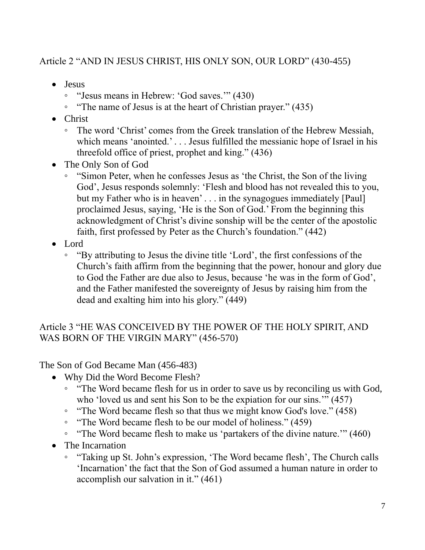# Article 2 "AND IN JESUS CHRIST, HIS ONLY SON, OUR LORD" (430-455)

- Jesus
	- "Jesus means in Hebrew: 'God saves.'" (430)
	- "The name of Jesus is at the heart of Christian prayer." (435)
- Christ
	- The word 'Christ' comes from the Greek translation of the Hebrew Messiah, which means 'anointed.' . . . Jesus fulfilled the messianic hope of Israel in his threefold office of priest, prophet and king." (436)
- The Only Son of God
	- "Simon Peter, when he confesses Jesus as 'the Christ, the Son of the living God', Jesus responds solemnly: 'Flesh and blood has not revealed this to you, but my Father who is in heaven'... in the synagogues immediately [Paul] proclaimed Jesus, saying, 'He is the Son of God.' From the beginning this acknowledgment of Christ's divine sonship will be the center of the apostolic faith, first professed by Peter as the Church's foundation." (442)
- Lord
	- "By attributing to Jesus the divine title 'Lord', the first confessions of the Church's faith affirm from the beginning that the power, honour and glory due to God the Father are due also to Jesus, because 'he was in the form of God', and the Father manifested the sovereignty of Jesus by raising him from the dead and exalting him into his glory." (449)

## Article 3 "HE WAS CONCEIVED BY THE POWER OF THE HOLY SPIRIT, AND WAS BORN OF THE VIRGIN MARY" (456-570)

The Son of God Became Man (456-483)

- Why Did the Word Become Flesh?
	- "The Word became flesh for us in order to save us by reconciling us with God, who 'loved us and sent his Son to be the expiation for our sins.'" (457)
	- "The Word became flesh so that thus we might know God's love." (458)
	- "The Word became flesh to be our model of holiness." (459)
	- "The Word became flesh to make us 'partakers of the divine nature.'" (460)
- The Incarnation
	- "Taking up St. John's expression, 'The Word became flesh', The Church calls 'Incarnation' the fact that the Son of God assumed a human nature in order to accomplish our salvation in it." (461)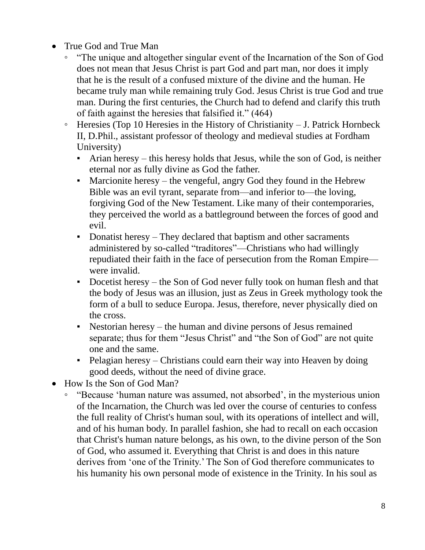- True God and True Man
	- "The unique and altogether singular event of the Incarnation of the Son of God does not mean that Jesus Christ is part God and part man, nor does it imply that he is the result of a confused mixture of the divine and the human. He became truly man while remaining truly God. Jesus Christ is true God and true man. During the first centuries, the Church had to defend and clarify this truth of faith against the heresies that falsified it." (464)
	- Heresies (Top 10 Heresies in the History of Christianity J. Patrick Hornbeck II, D.Phil., assistant professor of theology and medieval studies at Fordham University)
		- $\blacksquare$  Arian heresy this heresy holds that Jesus, while the son of God, is neither eternal nor as fully divine as God the father.
		- Marcionite heresy the vengeful, angry God they found in the Hebrew Bible was an evil tyrant, separate from—and inferior to—the loving, forgiving God of the New Testament. Like many of their contemporaries, they perceived the world as a battleground between the forces of good and evil.
		- Donatist heresy They declared that baptism and other sacraments administered by so-called "traditores"—Christians who had willingly repudiated their faith in the face of persecution from the Roman Empire were invalid.
		- Docetist heresy the Son of God never fully took on human flesh and that the body of Jesus was an illusion, just as Zeus in Greek mythology took the form of a bull to seduce Europa. Jesus, therefore, never physically died on the cross.
		- Nestorian heresy the human and divine persons of Jesus remained separate; thus for them "Jesus Christ" and "the Son of God" are not quite one and the same.
		- Pelagian heresy Christians could earn their way into Heaven by doing good deeds, without the need of divine grace.
- How Is the Son of God Man?
	- "Because 'human nature was assumed, not absorbed', in the mysterious union of the Incarnation, the Church was led over the course of centuries to confess the full reality of Christ's human soul, with its operations of intellect and will, and of his human body. In parallel fashion, she had to recall on each occasion that Christ's human nature belongs, as his own, to the divine person of the Son of God, who assumed it. Everything that Christ is and does in this nature derives from 'one of the Trinity.' The Son of God therefore communicates to his humanity his own personal mode of existence in the Trinity. In his soul as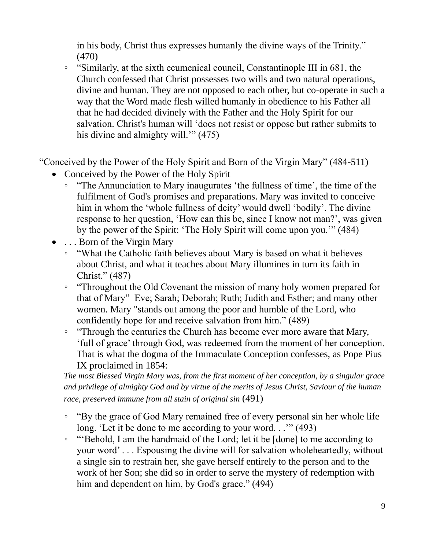in his body, Christ thus expresses humanly the divine ways of the Trinity." (470)

◦ "Similarly, at the sixth ecumenical council, Constantinople III in 681, the Church confessed that Christ possesses two wills and two natural operations, divine and human. They are not opposed to each other, but co-operate in such a way that the Word made flesh willed humanly in obedience to his Father all that he had decided divinely with the Father and the Holy Spirit for our salvation. Christ's human will 'does not resist or oppose but rather submits to his divine and almighty will." (475)

"Conceived by the Power of the Holy Spirit and Born of the Virgin Mary" (484-511)

- Conceived by the Power of the Holy Spirit
	- "The Annunciation to Mary inaugurates 'the fullness of time', the time of the fulfilment of God's promises and preparations. Mary was invited to conceive him in whom the 'whole fullness of deity' would dwell 'bodily'. The divine response to her question, 'How can this be, since I know not man?', was given by the power of the Spirit: 'The Holy Spirit will come upon you.'" (484)
- ... Born of the Virgin Mary
	- "What the Catholic faith believes about Mary is based on what it believes about Christ, and what it teaches about Mary illumines in turn its faith in Christ." (487)
	- "Throughout the Old Covenant the mission of many holy women prepared for that of Mary" Eve; Sarah; Deborah; Ruth; Judith and Esther; and many other women. Mary "stands out among the poor and humble of the Lord, who confidently hope for and receive salvation from him." (489)
	- "Through the centuries the Church has become ever more aware that Mary, 'full of grace' through God, was redeemed from the moment of her conception. That is what the dogma of the Immaculate Conception confesses, as Pope Pius IX proclaimed in 1854:

*The most Blessed Virgin Mary was, from the first moment of her conception, by a singular grace and privilege of almighty God and by virtue of the merits of Jesus Christ, Saviour of the human race, preserved immune from all stain of original sin* (491)

- "By the grace of God Mary remained free of every personal sin her whole life long. 'Let it be done to me according to your word...'" (493)
- "'Behold, I am the handmaid of the Lord; let it be [done] to me according to your word' . . . Espousing the divine will for salvation wholeheartedly, without a single sin to restrain her, she gave herself entirely to the person and to the work of her Son; she did so in order to serve the mystery of redemption with him and dependent on him, by God's grace." (494)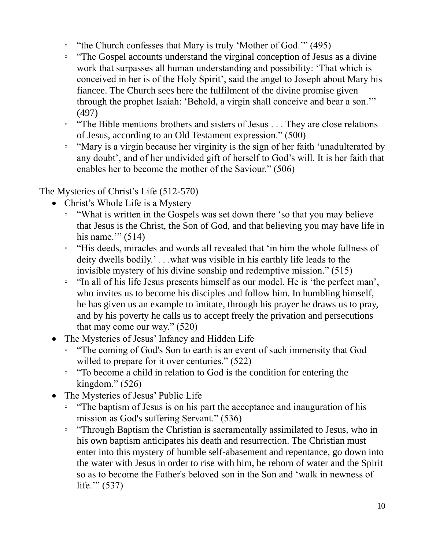- "the Church confesses that Mary is truly 'Mother of God.'" (495)
- "The Gospel accounts understand the virginal conception of Jesus as a divine work that surpasses all human understanding and possibility: 'That which is conceived in her is of the Holy Spirit', said the angel to Joseph about Mary his fiancee. The Church sees here the fulfilment of the divine promise given through the prophet Isaiah: 'Behold, a virgin shall conceive and bear a son.'" (497)
- "The Bible mentions brothers and sisters of Jesus . . . They are close relations of Jesus, according to an Old Testament expression." (500)
- "Mary is a virgin because her virginity is the sign of her faith 'unadulterated by any doubt', and of her undivided gift of herself to God's will. It is her faith that enables her to become the mother of the Saviour." (506)

The Mysteries of Christ's Life (512-570)

- Christ's Whole Life is a Mystery
	- "What is written in the Gospels was set down there 'so that you may believe that Jesus is the Christ, the Son of God, and that believing you may have life in his name."  $(514)$
	- "His deeds, miracles and words all revealed that 'in him the whole fullness of deity dwells bodily.' . . .what was visible in his earthly life leads to the invisible mystery of his divine sonship and redemptive mission." (515)
	- "In all of his life Jesus presents himself as our model. He is 'the perfect man', who invites us to become his disciples and follow him. In humbling himself, he has given us an example to imitate, through his prayer he draws us to pray, and by his poverty he calls us to accept freely the privation and persecutions that may come our way." (520)
- The Mysteries of Jesus' Infancy and Hidden Life
	- "The coming of God's Son to earth is an event of such immensity that God willed to prepare for it over centuries." (522)
	- "To become a child in relation to God is the condition for entering the kingdom." (526)
- The Mysteries of Jesus' Public Life
	- "The baptism of Jesus is on his part the acceptance and inauguration of his mission as God's suffering Servant." (536)
	- "Through Baptism the Christian is sacramentally assimilated to Jesus, who in his own baptism anticipates his death and resurrection. The Christian must enter into this mystery of humble self-abasement and repentance, go down into the water with Jesus in order to rise with him, be reborn of water and the Spirit so as to become the Father's beloved son in the Son and 'walk in newness of life."  $(537)$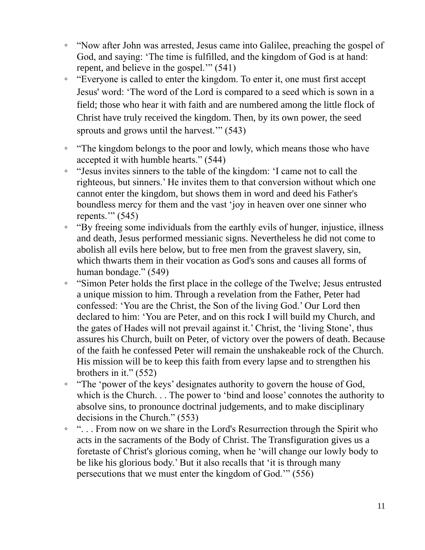- "Now after John was arrested, Jesus came into Galilee, preaching the gospel of God, and saying: 'The time is fulfilled, and the kingdom of God is at hand: repent, and believe in the gospel.'" (541)
- "Everyone is called to enter the kingdom. To enter it, one must first accept Jesus' word: 'The word of the Lord is compared to a seed which is sown in a field; those who hear it with faith and are numbered among the little flock of Christ have truly received the kingdom. Then, by its own power, the seed sprouts and grows until the harvest." (543)
- "The kingdom belongs to the poor and lowly, which means those who have accepted it with humble hearts." (544)
- "Jesus invites sinners to the table of the kingdom: 'I came not to call the righteous, but sinners.' He invites them to that conversion without which one cannot enter the kingdom, but shows them in word and deed his Father's boundless mercy for them and the vast 'joy in heaven over one sinner who repents."  $(545)$
- "By freeing some individuals from the earthly evils of hunger, injustice, illness and death, Jesus performed messianic signs. Nevertheless he did not come to abolish all evils here below, but to free men from the gravest slavery, sin, which thwarts them in their vocation as God's sons and causes all forms of human bondage." (549)
- "Simon Peter holds the first place in the college of the Twelve; Jesus entrusted a unique mission to him. Through a revelation from the Father, Peter had confessed: 'You are the Christ, the Son of the living God.' Our Lord then declared to him: 'You are Peter, and on this rock I will build my Church, and the gates of Hades will not prevail against it.' Christ, the 'living Stone', thus assures his Church, built on Peter, of victory over the powers of death. Because of the faith he confessed Peter will remain the unshakeable rock of the Church. His mission will be to keep this faith from every lapse and to strengthen his brothers in it."  $(552)$
- "The 'power of the keys' designates authority to govern the house of God, which is the Church. . . The power to 'bind and loose' connotes the authority to absolve sins, to pronounce doctrinal judgements, and to make disciplinary decisions in the Church." (553)
- ". . . From now on we share in the Lord's Resurrection through the Spirit who acts in the sacraments of the Body of Christ. The Transfiguration gives us a foretaste of Christ's glorious coming, when he 'will change our lowly body to be like his glorious body.' But it also recalls that 'it is through many persecutions that we must enter the kingdom of God.'" (556)